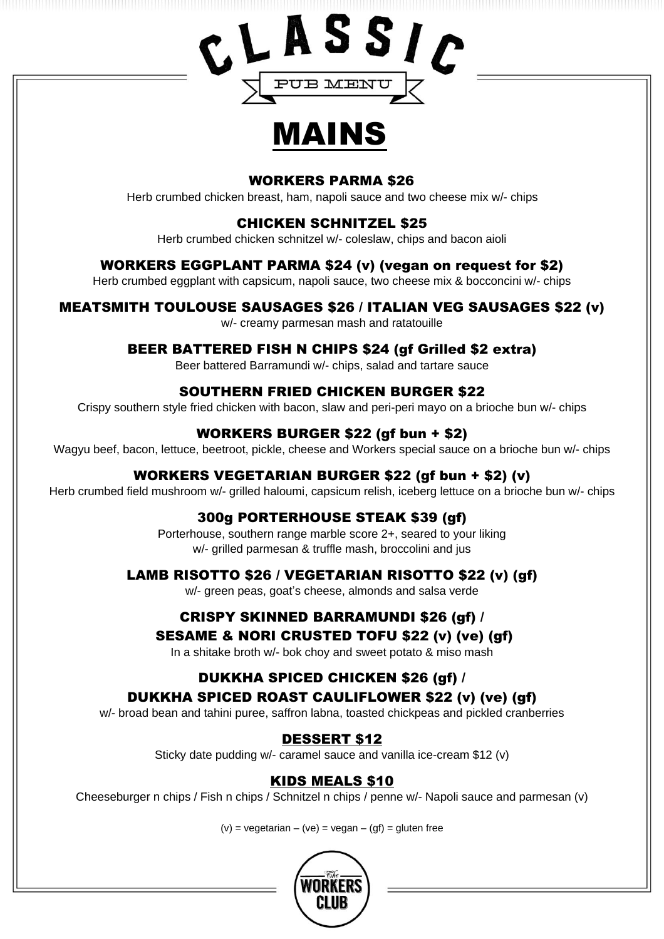

# MAINS

#### WORKERS PARMA \$26

Herb crumbed chicken breast, ham, napoli sauce and two cheese mix w/- chips

#### CHICKEN SCHNITZEL \$25

Herb crumbed chicken schnitzel w/- coleslaw, chips and bacon aioli

#### WORKERS EGGPLANT PARMA \$24 (v) (vegan on request for \$2)

Herb crumbed eggplant with capsicum, napoli sauce, two cheese mix & bocconcini w/- chips

#### MEATSMITH TOULOUSE SAUSAGES \$26 / ITALIAN VEG SAUSAGES \$22 (v)

w/- creamy parmesan mash and ratatouille

#### BEER BATTERED FISH N CHIPS \$24 (gf Grilled \$2 extra)

Beer battered Barramundi w/- chips, salad and tartare sauce

#### SOUTHERN FRIED CHICKEN BURGER \$22

Crispy southern style fried chicken with bacon, slaw and peri-peri mayo on a brioche bun w/- chips

#### WORKERS BURGER \$22 (gf bun + \$2)

Wagyu beef, bacon, lettuce, beetroot, pickle, cheese and Workers special sauce on a brioche bun w/- chips

#### WORKERS VEGETARIAN BURGER \$22 (gf bun + \$2) (v)

Herb crumbed field mushroom w/- grilled haloumi, capsicum relish, iceberg lettuce on a brioche bun w/- chips

#### 300g PORTERHOUSE STEAK \$39 (gf)

Porterhouse, southern range marble score 2+, seared to your liking w/- grilled parmesan & truffle mash, broccolini and jus

#### LAMB RISOTTO \$26 / VEGETARIAN RISOTTO \$22 (v) (gf)

w/- green peas, goat's cheese, almonds and salsa verde

#### CRISPY SKINNED BARRAMUNDI \$26 (gf) /

#### SESAME & NORI CRUSTED TOFU \$22 (v) (ve) (gf)

In a shitake broth w/- bok choy and sweet potato & miso mash

#### DUKKHA SPICED CHICKEN \$26 (gf) /

#### DUKKHA SPICED ROAST CAULIFLOWER \$22 (v) (ve) (gf)

w/- broad bean and tahini puree, saffron labna, toasted chickpeas and pickled cranberries

#### DESSERT \$12

Sticky date pudding w/- caramel sauce and vanilla ice-cream \$12 (v)

#### KIDS MEALS \$10

Cheeseburger n chips / Fish n chips / Schnitzel n chips / penne w/- Napoli sauce and parmesan (v)

 $(v)$  = vegetarian – (ve) = vegan – (gf) = gluten free